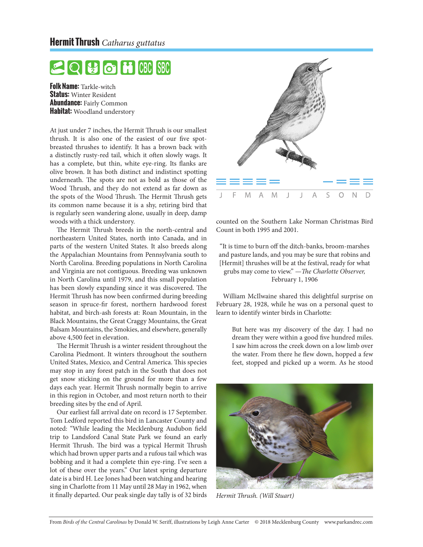## **Hermit Thrush** *Catharus guttatus*

## **ISBC 1916** ICBCI

**Folk Name:** Tarkle-witch **Status:** Winter Resident **Abundance:** Fairly Common **Habitat:** Woodland understory

At just under 7 inches, the Hermit Thrush is our smallest thrush. It is also one of the easiest of our five spotbreasted thrushes to identify. It has a brown back with a distinctly rusty-red tail, which it often slowly wags. It has a complete, but thin, white eye-ring. Its flanks are olive brown. It has both distinct and indistinct spotting underneath. The spots are not as bold as those of the Wood Thrush, and they do not extend as far down as the spots of the Wood Thrush. The Hermit Thrush gets its common name because it is a shy, retiring bird that is regularly seen wandering alone, usually in deep, damp woods with a thick understory.

The Hermit Thrush breeds in the north-central and northeastern United States, north into Canada, and in parts of the western United States. It also breeds along the Appalachian Mountains from Pennsylvania south to North Carolina. Breeding populations in North Carolina and Virginia are not contiguous. Breeding was unknown in North Carolina until 1979, and this small population has been slowly expanding since it was discovered. The Hermit Thrush has now been confirmed during breeding season in spruce-fir forest, northern hardwood forest habitat, and birch-ash forests at: Roan Mountain, in the Black Mountains, the Great Craggy Mountains, the Great Balsam Mountains, the Smokies, and elsewhere, generally above 4,500 feet in elevation.

The Hermit Thrush is a winter resident throughout the Carolina Piedmont. It winters throughout the southern United States, Mexico, and Central America. This species may stop in any forest patch in the South that does not get snow sticking on the ground for more than a few days each year. Hermit Thrush normally begin to arrive in this region in October, and most return north to their breeding sites by the end of April.

Our earliest fall arrival date on record is 17 September. Tom Ledford reported this bird in Lancaster County and noted: "While leading the Mecklenburg Audubon field trip to Landsford Canal State Park we found an early Hermit Thrush. The bird was a typical Hermit Thrush which had brown upper parts and a rufous tail which was bobbing and it had a complete thin eye-ring. I've seen a lot of these over the years." Our latest spring departure date is a bird H. Lee Jones had been watching and hearing sing in Charlotte from 11 May until 28 May in 1962, when it finally departed. Our peak single day tally is of 32 birds *Hermit Thrush. (Will Stuart)*



counted on the Southern Lake Norman Christmas Bird Count in both 1995 and 2001.

"It is time to burn off the ditch-banks, broom-marshes and pasture lands, and you may be sure that robins and [Hermit] thrushes will be at the festival, ready for what grubs may come to view." —*The Charlotte Observer,* February 1, 1906

William McIlwaine shared this delightful surprise on February 28, 1928, while he was on a personal quest to learn to identify winter birds in Charlotte:

> But here was my discovery of the day. I had no dream they were within a good five hundred miles. I saw him across the creek down on a low limb over the water. From there he flew down, hopped a few feet, stopped and picked up a worm. As he stood